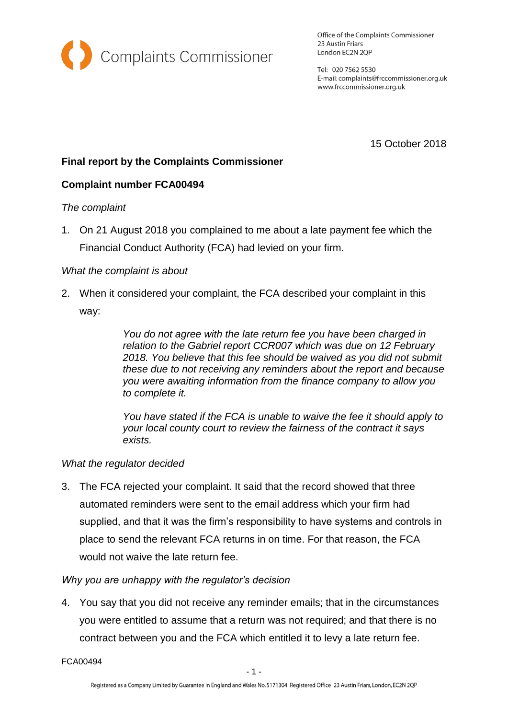

Office of the Complaints Commissioner 23 Austin Friars London EC2N 2QP

Tel: 020 7562 5530 E-mail: complaints@frccommissioner.org.uk www.frccommissioner.org.uk

15 October 2018

# **Final report by the Complaints Commissioner**

## **Complaint number FCA00494**

#### *The complaint*

1. On 21 August 2018 you complained to me about a late payment fee which the Financial Conduct Authority (FCA) had levied on your firm.

#### *What the complaint is about*

2. When it considered your complaint, the FCA described your complaint in this way:

> *You do not agree with the late return fee you have been charged in relation to the Gabriel report CCR007 which was due on 12 February 2018. You believe that this fee should be waived as you did not submit these due to not receiving any reminders about the report and because you were awaiting information from the finance company to allow you to complete it.*

> *You have stated if the FCA is unable to waive the fee it should apply to your local county court to review the fairness of the contract it says exists.*

#### *What the regulator decided*

3. The FCA rejected your complaint. It said that the record showed that three automated reminders were sent to the email address which your firm had supplied, and that it was the firm's responsibility to have systems and controls in place to send the relevant FCA returns in on time. For that reason, the FCA would not waive the late return fee.

#### *Why you are unhappy with the regulator's decision*

4. You say that you did not receive any reminder emails; that in the circumstances you were entitled to assume that a return was not required; and that there is no contract between you and the FCA which entitled it to levy a late return fee.

FCA00494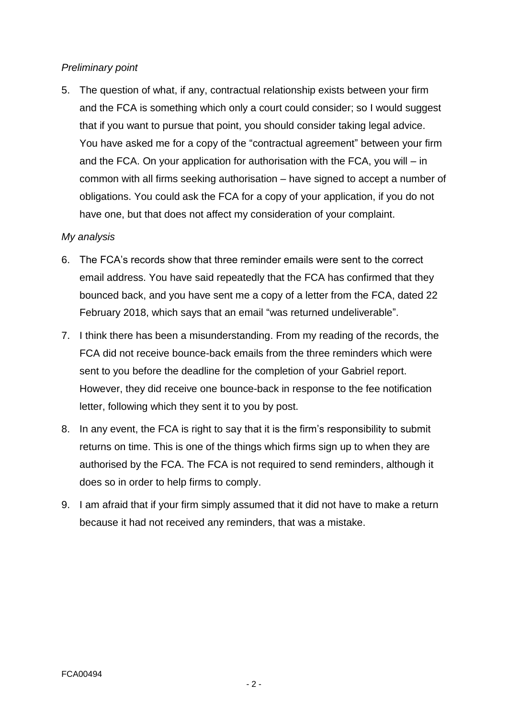## *Preliminary point*

5. The question of what, if any, contractual relationship exists between your firm and the FCA is something which only a court could consider; so I would suggest that if you want to pursue that point, you should consider taking legal advice. You have asked me for a copy of the "contractual agreement" between your firm and the FCA. On your application for authorisation with the FCA, you will – in common with all firms seeking authorisation – have signed to accept a number of obligations. You could ask the FCA for a copy of your application, if you do not have one, but that does not affect my consideration of your complaint.

#### *My analysis*

- 6. The FCA's records show that three reminder emails were sent to the correct email address. You have said repeatedly that the FCA has confirmed that they bounced back, and you have sent me a copy of a letter from the FCA, dated 22 February 2018, which says that an email "was returned undeliverable".
- 7. I think there has been a misunderstanding. From my reading of the records, the FCA did not receive bounce-back emails from the three reminders which were sent to you before the deadline for the completion of your Gabriel report. However, they did receive one bounce-back in response to the fee notification letter, following which they sent it to you by post.
- 8. In any event, the FCA is right to say that it is the firm's responsibility to submit returns on time. This is one of the things which firms sign up to when they are authorised by the FCA. The FCA is not required to send reminders, although it does so in order to help firms to comply.
- 9. I am afraid that if your firm simply assumed that it did not have to make a return because it had not received any reminders, that was a mistake.